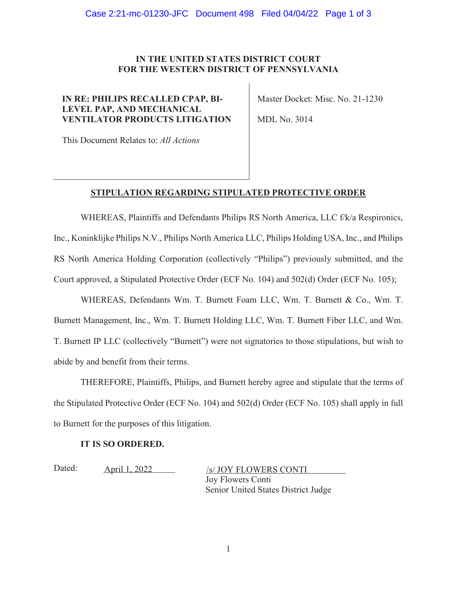## **IN THE UNITED STATES DISTRICT COURT FOR THE WESTERN DISTRICT OF PENNSYLVANIA**

# **IN RE: PHILIPS RECALLED CPAP, BI-LEVEL PAP, AND MECHANICAL VENTILATOR PRODUCTS LITIGATION**

Master Docket: Misc. No. 21-1230

MDL No. 3014

This Document Relates to: *All Actions*

# **STIPULATION REGARDING STIPULATED PROTECTIVE ORDER**

WHEREAS, Plaintiffs and Defendants Philips RS North America, LLC f/k/a Respironics, Inc., Koninklijke Philips N.V., Philips North America LLC, Philips Holding USA, Inc., and Philips RS North America Holding Corporation (collectively "Philips") previously submitted, and the Court approved, a Stipulated Protective Order (ECF No. 104) and 502(d) Order (ECF No. 105);

WHEREAS, Defendants Wm. T. Burnett Foam LLC, Wm. T. Burnett & Co., Wm. T. Burnett Management, Inc., Wm. T. Burnett Holding LLC, Wm. T. Burnett Fiber LLC, and Wm. T. Burnett IP LLC (collectively "Burnett") were not signatories to those stipulations, but wish to abide by and benefit from their terms.

THEREFORE, Plaintiffs, Philips, and Burnett hereby agree and stipulate that the terms of the Stipulated Protective Order (ECF No. 104) and 502(d) Order (ECF No. 105) shall apply in full to Burnett for the purposes of this litigation.

## **IT IS SO ORDERED.**

Dated: <u>April 1, 2022</u>

Joy Flowers Conti Senior United States District Judge /s/ JOY FLOWERS CONTI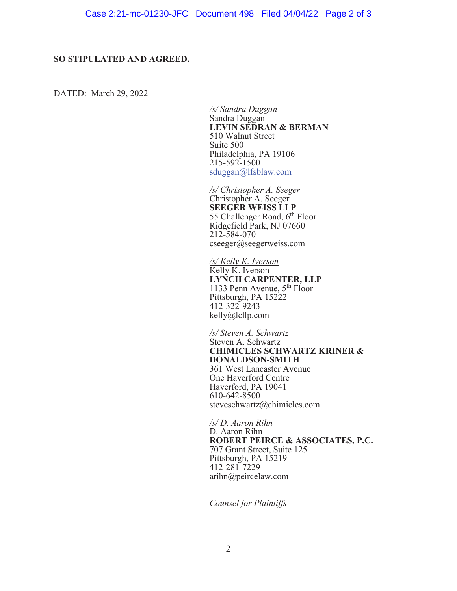#### **SO STIPULATED AND AGREED.**

DATED: March 29, 2022

*/s/ Sandra Duggan*  Sandra Duggan **LEVIN SEDRAN & BERMAN**  510 Walnut Street Suite 500 Philadelphia, PA 19106 215-592-1500 sduggan@lfsblaw.com

*/s/ Christopher A. Seeger*  Christopher A. Seeger **SEEGER WEISS LLP**  55 Challenger Road,  $6<sup>th</sup>$  Floor Ridgefield Park, NJ 07660 212-584-070 cseeger@seegerweiss.com

*/s/ Kelly K. Iverson*  Kelly K. Iverson **LYNCH CARPENTER, LLP**  1133 Penn Avenue,  $5<sup>th</sup>$  Floor Pittsburgh, PA 15222 412-322-9243 kelly@lcllp.com

*/s/ Steven A. Schwartz*  Steven A. Schwartz **CHIMICLES SCHWARTZ KRINER & DONALDSON-SMITH**  361 West Lancaster Avenue One Haverford Centre Haverford, PA 19041 610-642-8500 steveschwartz@chimicles.com

*/s/ D. Aaron Rihn*  D. Aaron Rihn **ROBERT PEIRCE & ASSOCIATES, P.C.** 707 Grant Street, Suite 125 Pittsburgh, PA 15219 412-281-7229 arihn@peircelaw.com

*Counsel for Plaintiffs*